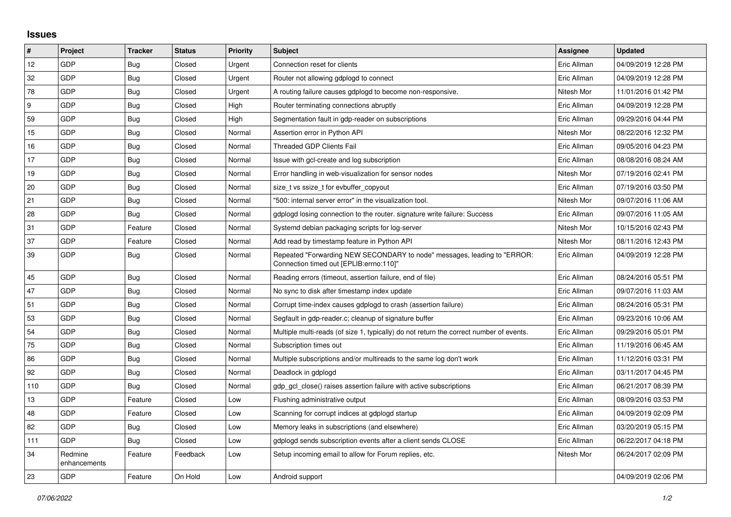## **Issues**

| #   | Project                 | <b>Tracker</b> | <b>Status</b> | Priority | <b>Subject</b>                                                                                                      | <b>Assignee</b> | <b>Updated</b>      |
|-----|-------------------------|----------------|---------------|----------|---------------------------------------------------------------------------------------------------------------------|-----------------|---------------------|
| 12  | GDP                     | <b>Bug</b>     | Closed        | Urgent   | Connection reset for clients                                                                                        | Eric Allman     | 04/09/2019 12:28 PM |
| 32  | GDP                     | <b>Bug</b>     | Closed        | Urgent   | Router not allowing gdplogd to connect                                                                              | Eric Allman     | 04/09/2019 12:28 PM |
| 78  | GDP                     | <b>Bug</b>     | Closed        | Urgent   | A routing failure causes gdplogd to become non-responsive.                                                          | Nitesh Mor      | 11/01/2016 01:42 PM |
| 9   | GDP                     | Bug            | Closed        | High     | Router terminating connections abruptly                                                                             | Eric Allman     | 04/09/2019 12:28 PM |
| 59  | GDP                     | <b>Bug</b>     | Closed        | High     | Segmentation fault in gdp-reader on subscriptions                                                                   | Eric Allman     | 09/29/2016 04:44 PM |
| 15  | GDP                     | Bug            | Closed        | Normal   | Assertion error in Python API                                                                                       | Nitesh Mor      | 08/22/2016 12:32 PM |
| 16  | GDP                     | Bug            | Closed        | Normal   | Threaded GDP Clients Fail                                                                                           | Eric Allman     | 09/05/2016 04:23 PM |
| 17  | GDP                     | <b>Bug</b>     | Closed        | Normal   | Issue with gcl-create and log subscription                                                                          | Eric Allman     | 08/08/2016 08:24 AM |
| 19  | GDP                     | <b>Bug</b>     | Closed        | Normal   | Error handling in web-visualization for sensor nodes                                                                | Nitesh Mor      | 07/19/2016 02:41 PM |
| 20  | GDP                     | Bug            | Closed        | Normal   | size t vs ssize t for evbuffer copyout                                                                              | Eric Allman     | 07/19/2016 03:50 PM |
| 21  | GDP                     | Bug            | Closed        | Normal   | "500: internal server error" in the visualization tool.                                                             | Nitesh Mor      | 09/07/2016 11:06 AM |
| 28  | GDP                     | Bug            | Closed        | Normal   | gdplogd losing connection to the router. signature write failure: Success                                           | Eric Allman     | 09/07/2016 11:05 AM |
| 31  | GDP                     | Feature        | Closed        | Normal   | Systemd debian packaging scripts for log-server                                                                     | Nitesh Mor      | 10/15/2016 02:43 PM |
| 37  | GDP                     | Feature        | Closed        | Normal   | Add read by timestamp feature in Python API                                                                         | Nitesh Mor      | 08/11/2016 12:43 PM |
| 39  | GDP                     | <b>Bug</b>     | Closed        | Normal   | Repeated "Forwarding NEW SECONDARY to node" messages, leading to "ERROR:<br>Connection timed out [EPLIB:errno:110]" | Eric Allman     | 04/09/2019 12:28 PM |
| 45  | GDP                     | <b>Bug</b>     | Closed        | Normal   | Reading errors (timeout, assertion failure, end of file)                                                            | Eric Allman     | 08/24/2016 05:51 PM |
| 47  | GDP                     | Bug            | Closed        | Normal   | No sync to disk after timestamp index update                                                                        | Eric Allman     | 09/07/2016 11:03 AM |
| 51  | GDP                     | Bug            | Closed        | Normal   | Corrupt time-index causes gdplogd to crash (assertion failure)                                                      | Eric Allman     | 08/24/2016 05:31 PM |
| 53  | GDP                     | Bug            | Closed        | Normal   | Segfault in gdp-reader.c; cleanup of signature buffer                                                               | Eric Allman     | 09/23/2016 10:06 AM |
| 54  | GDP                     | Bug            | Closed        | Normal   | Multiple multi-reads (of size 1, typically) do not return the correct number of events.                             | Eric Allman     | 09/29/2016 05:01 PM |
| 75  | GDP                     | Bug            | Closed        | Normal   | Subscription times out                                                                                              | Eric Allman     | 11/19/2016 06:45 AM |
| 86  | GDP                     | Bug            | Closed        | Normal   | Multiple subscriptions and/or multireads to the same log don't work                                                 | Eric Allman     | 11/12/2016 03:31 PM |
| 92  | GDP                     | <b>Bug</b>     | Closed        | Normal   | Deadlock in gdplogd                                                                                                 | Eric Allman     | 03/11/2017 04:45 PM |
| 110 | GDP                     | Bug            | Closed        | Normal   | gdp gcl close() raises assertion failure with active subscriptions                                                  | Eric Allman     | 06/21/2017 08:39 PM |
| 13  | GDP                     | Feature        | Closed        | Low      | Flushing administrative output                                                                                      | Eric Allman     | 08/09/2016 03:53 PM |
| 48  | GDP                     | Feature        | Closed        | Low      | Scanning for corrupt indices at gdplogd startup                                                                     | Eric Allman     | 04/09/2019 02:09 PM |
| 82  | GDP                     | Bug            | Closed        | Low      | Memory leaks in subscriptions (and elsewhere)                                                                       | Eric Allman     | 03/20/2019 05:15 PM |
| 111 | GDP                     | Bug            | Closed        | Low      | adpload sends subscription events after a client sends CLOSE                                                        | Eric Allman     | 06/22/2017 04:18 PM |
| 34  | Redmine<br>enhancements | Feature        | Feedback      | Low      | Setup incoming email to allow for Forum replies, etc.                                                               | Nitesh Mor      | 06/24/2017 02:09 PM |
| 23  | GDP                     | Feature        | On Hold       | Low      | Android support                                                                                                     |                 | 04/09/2019 02:06 PM |